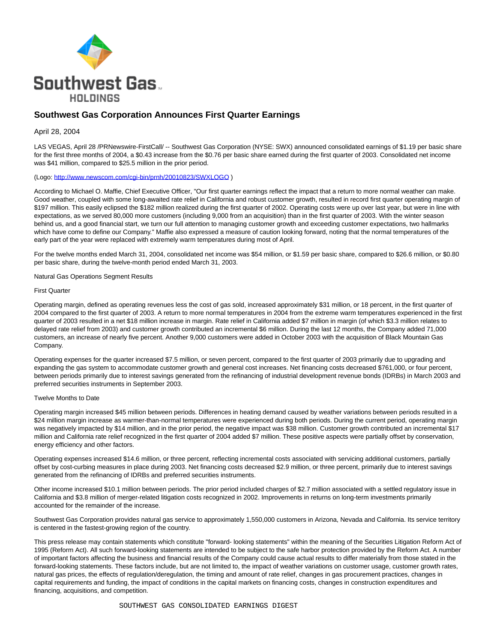

# **Southwest Gas Corporation Announces First Quarter Earnings**

### April 28, 2004

LAS VEGAS, April 28 /PRNewswire-FirstCall/ -- Southwest Gas Corporation (NYSE: SWX) announced consolidated earnings of \$1.19 per basic share for the first three months of 2004, a \$0.43 increase from the \$0.76 per basic share earned during the first quarter of 2003. Consolidated net income was \$41 million, compared to \$25.5 million in the prior period.

## (Logo: [http://www.newscom.com/cgi-bin/prnh/20010823/SWXLOGO \)](http://www.newscom.com/cgi-bin/prnh/20010823/SWXLOGO)

According to Michael O. Maffie, Chief Executive Officer, "Our first quarter earnings reflect the impact that a return to more normal weather can make. Good weather, coupled with some long-awaited rate relief in California and robust customer growth, resulted in record first quarter operating margin of \$197 million. This easily eclipsed the \$182 million realized during the first quarter of 2002. Operating costs were up over last year, but were in line with expectations, as we served 80,000 more customers (including 9,000 from an acquisition) than in the first quarter of 2003. With the winter season behind us, and a good financial start, we turn our full attention to managing customer growth and exceeding customer expectations, two hallmarks which have come to define our Company." Maffie also expressed a measure of caution looking forward, noting that the normal temperatures of the early part of the year were replaced with extremely warm temperatures during most of April.

For the twelve months ended March 31, 2004, consolidated net income was \$54 million, or \$1.59 per basic share, compared to \$26.6 million, or \$0.80 per basic share, during the twelve-month period ended March 31, 2003.

Natural Gas Operations Segment Results

### First Quarter

Operating margin, defined as operating revenues less the cost of gas sold, increased approximately \$31 million, or 18 percent, in the first quarter of 2004 compared to the first quarter of 2003. A return to more normal temperatures in 2004 from the extreme warm temperatures experienced in the first quarter of 2003 resulted in a net \$18 million increase in margin. Rate relief in California added \$7 million in margin (of which \$3.3 million relates to delayed rate relief from 2003) and customer growth contributed an incremental \$6 million. During the last 12 months, the Company added 71,000 customers, an increase of nearly five percent. Another 9,000 customers were added in October 2003 with the acquisition of Black Mountain Gas Company.

Operating expenses for the quarter increased \$7.5 million, or seven percent, compared to the first quarter of 2003 primarily due to upgrading and expanding the gas system to accommodate customer growth and general cost increases. Net financing costs decreased \$761,000, or four percent, between periods primarily due to interest savings generated from the refinancing of industrial development revenue bonds (IDRBs) in March 2003 and preferred securities instruments in September 2003.

### Twelve Months to Date

Operating margin increased \$45 million between periods. Differences in heating demand caused by weather variations between periods resulted in a \$24 million margin increase as warmer-than-normal temperatures were experienced during both periods. During the current period, operating margin was negatively impacted by \$14 million, and in the prior period, the negative impact was \$38 million. Customer growth contributed an incremental \$17 million and California rate relief recognized in the first quarter of 2004 added \$7 million. These positive aspects were partially offset by conservation, energy efficiency and other factors.

Operating expenses increased \$14.6 million, or three percent, reflecting incremental costs associated with servicing additional customers, partially offset by cost-curbing measures in place during 2003. Net financing costs decreased \$2.9 million, or three percent, primarily due to interest savings generated from the refinancing of IDRBs and preferred securities instruments.

Other income increased \$10.1 million between periods. The prior period included charges of \$2.7 million associated with a settled regulatory issue in California and \$3.8 million of merger-related litigation costs recognized in 2002. Improvements in returns on long-term investments primarily accounted for the remainder of the increase.

Southwest Gas Corporation provides natural gas service to approximately 1,550,000 customers in Arizona, Nevada and California. Its service territory is centered in the fastest-growing region of the country.

This press release may contain statements which constitute "forward- looking statements" within the meaning of the Securities Litigation Reform Act of 1995 (Reform Act). All such forward-looking statements are intended to be subject to the safe harbor protection provided by the Reform Act. A number of important factors affecting the business and financial results of the Company could cause actual results to differ materially from those stated in the forward-looking statements. These factors include, but are not limited to, the impact of weather variations on customer usage, customer growth rates, natural gas prices, the effects of regulation/deregulation, the timing and amount of rate relief, changes in gas procurement practices, changes in capital requirements and funding, the impact of conditions in the capital markets on financing costs, changes in construction expenditures and financing, acquisitions, and competition.